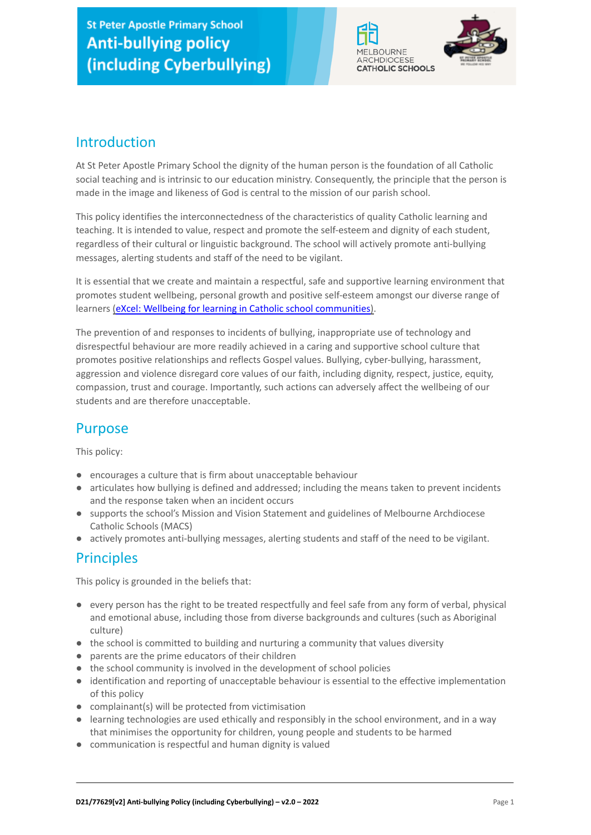



## Introduction

At St Peter Apostle Primary School the dignity of the human person is the foundation of all Catholic social teaching and is intrinsic to our education ministry. Consequently, the principle that the person is made in the image and likeness of God is central to the mission of our parish school.

This policy identifies the interconnectedness of the characteristics of quality Catholic learning and teaching. It is intended to value, respect and promote the self-esteem and dignity of each student, regardless of their cultural or linguistic background. The school will actively promote anti-bullying messages, alerting students and staff of the need to be vigilant.

It is essential that we create and maintain a respectful, safe and supportive learning environment that promotes student wellbeing, personal growth and positive self-esteem amongst our diverse range of learners ([eXcel: Wellbeing for learning in Catholic](https://cevn.cecv.catholic.edu.au/Melb/Student-Support/Student-Wellbeing/eXcel#excel:-wellbeing-for-learning-in-catholic-school-communities) school communities).

The prevention of and responses to incidents of bullying, inappropriate use of technology and disrespectful behaviour are more readily achieved in a caring and supportive school culture that promotes positive relationships and reflects Gospel values. Bullying, cyber-bullying, harassment, aggression and violence disregard core values of our faith, including dignity, respect, justice, equity, compassion, trust and courage. Importantly, such actions can adversely affect the wellbeing of our students and are therefore unacceptable.

## Purpose

This policy:

- encourages a culture that is firm about unacceptable behaviour
- articulates how bullying is defined and addressed; including the means taken to prevent incidents and the response taken when an incident occurs
- supports the school's Mission and Vision Statement and guidelines of Melbourne Archdiocese Catholic Schools (MACS)
- actively promotes anti-bullying messages, alerting students and staff of the need to be vigilant.

## **Principles**

This policy is grounded in the beliefs that:

- every person has the right to be treated respectfully and feel safe from any form of verbal, physical and emotional abuse, including those from diverse backgrounds and cultures (such as Aboriginal culture)
- the school is committed to building and nurturing a community that values diversity
- parents are the prime educators of their children
- the school community is involved in the development of school policies
- identification and reporting of unacceptable behaviour is essential to the effective implementation of this policy
- complainant(s) will be protected from victimisation
- learning technologies are used ethically and responsibly in the school environment, and in a way that minimises the opportunity for children, young people and students to be harmed
- communication is respectful and human dignity is valued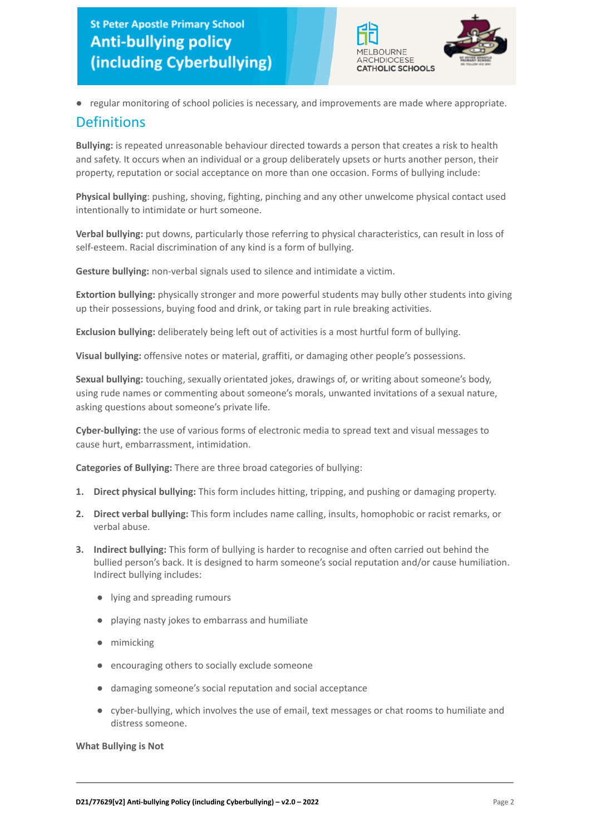



● regular monitoring of school policies is necessary, and improvements are made where appropriate.

### **Definitions**

**Bullying:** is repeated unreasonable behaviour directed towards a person that creates a risk to health and safety. It occurs when an individual or a group deliberately upsets or hurts another person, their property, reputation or social acceptance on more than one occasion. Forms of bullying include:

**Physical bullying**: pushing, shoving, fighting, pinching and any other unwelcome physical contact used intentionally to intimidate or hurt someone.

**Verbal bullying:** put downs, particularly those referring to physical characteristics, can result in loss of self-esteem. Racial discrimination of any kind is a form of bullying.

**Gesture bullying:** non-verbal signals used to silence and intimidate a victim.

**Extortion bullying:** physically stronger and more powerful students may bully other students into giving up their possessions, buying food and drink, or taking part in rule breaking activities.

**Exclusion bullying:** deliberately being left out of activities is a most hurtful form of bullying.

**Visual bullying:** offensive notes or material, graffiti, or damaging other people's possessions.

**Sexual bullying:** touching, sexually orientated jokes, drawings of, or writing about someone's body, using rude names or commenting about someone's morals, unwanted invitations of a sexual nature, asking questions about someone's private life.

**Cyber-bullying:** the use of various forms of electronic media to spread text and visual messages to cause hurt, embarrassment, intimidation.

**Categories of Bullying:** There are three broad categories of bullying:

- **1. Direct physical bullying:** This form includes hitting, tripping, and pushing or damaging property.
- **2. Direct verbal bullying:** This form includes name calling, insults, homophobic or racist remarks, or verbal abuse.
- **3. Indirect bullying:** This form of bullying is harder to recognise and often carried out behind the bullied person's back. It is designed to harm someone's social reputation and/or cause humiliation. Indirect bullying includes:
	- lying and spreading rumours
	- playing nasty jokes to embarrass and humiliate
	- mimicking
	- encouraging others to socially exclude someone
	- damaging someone's social reputation and social acceptance
	- cyber-bullying, which involves the use of email, text messages or chat rooms to humiliate and distress someone.

**What Bullying is Not**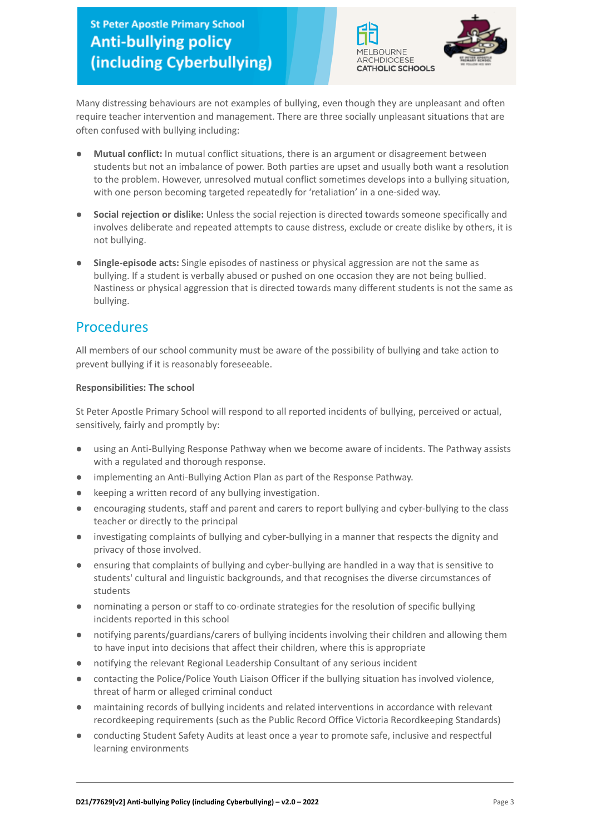



Many distressing behaviours are not examples of bullying, even though they are unpleasant and often require teacher intervention and management. There are three socially unpleasant situations that are often confused with bullying including:

- **● Mutual conflict:** In mutual conflict situations, there is an argument or disagreement between students but not an imbalance of power. Both parties are upset and usually both want a resolution to the problem. However, unresolved mutual conflict sometimes develops into a bullying situation, with one person becoming targeted repeatedly for 'retaliation' in a one-sided way.
- **● Social rejection or dislike:** Unless the social rejection is directed towards someone specifically and involves deliberate and repeated attempts to cause distress, exclude or create dislike by others, it is not bullying.
- **● Single-episode acts:** Single episodes of nastiness or physical aggression are not the same as bullying. If a student is verbally abused or pushed on one occasion they are not being bullied. Nastiness or physical aggression that is directed towards many different students is not the same as bullying.

## Procedures

All members of our school community must be aware of the possibility of bullying and take action to prevent bullying if it is reasonably foreseeable.

#### **Responsibilities: The school**

St Peter Apostle Primary School will respond to all reported incidents of bullying, perceived or actual, sensitively, fairly and promptly by:

- using an Anti-Bullying Response Pathway when we become aware of incidents. The Pathway assists with a regulated and thorough response.
- implementing an Anti-Bullying Action Plan as part of the Response Pathway.
- keeping a written record of any bullying investigation.
- encouraging students, staff and parent and carers to report bullying and cyber-bullying to the class teacher or directly to the principal
- investigating complaints of bullying and cyber-bullying in a manner that respects the dignity and privacy of those involved.
- ensuring that complaints of bullying and cyber-bullying are handled in a way that is sensitive to students' cultural and linguistic backgrounds, and that recognises the diverse circumstances of students
- nominating a person or staff to co-ordinate strategies for the resolution of specific bullying incidents reported in this school
- notifying parents/guardians/carers of bullying incidents involving their children and allowing them to have input into decisions that affect their children, where this is appropriate
- notifying the relevant Regional Leadership Consultant of any serious incident
- contacting the Police/Police Youth Liaison Officer if the bullying situation has involved violence, threat of harm or alleged criminal conduct
- maintaining records of bullying incidents and related interventions in accordance with relevant recordkeeping requirements (such as the Public Record Office Victoria Recordkeeping Standards)
- conducting Student Safety Audits at least once a year to promote safe, inclusive and respectful learning environments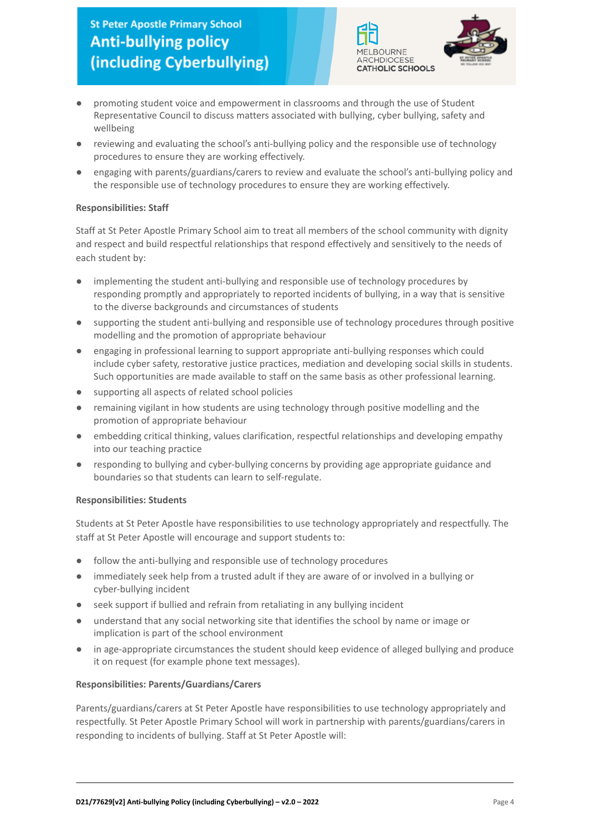



- promoting student voice and empowerment in classrooms and through the use of Student Representative Council to discuss matters associated with bullying, cyber bullying, safety and wellbeing
- reviewing and evaluating the school's anti-bullying policy and the responsible use of technology procedures to ensure they are working effectively.
- **●** engaging with parents/guardians/carers to review and evaluate the school's anti-bullying policy and the responsible use of technology procedures to ensure they are working effectively.

#### **Responsibilities: Staff**

Staff at St Peter Apostle Primary School aim to treat all members of the school community with dignity and respect and build respectful relationships that respond effectively and sensitively to the needs of each student by:

- implementing the student anti-bullying and responsible use of technology procedures by responding promptly and appropriately to reported incidents of bullying, in a way that is sensitive to the diverse backgrounds and circumstances of students
- supporting the student anti-bullying and responsible use of technology procedures through positive modelling and the promotion of appropriate behaviour
- engaging in professional learning to support appropriate anti-bullying responses which could include cyber safety, restorative justice practices, mediation and developing social skills in students. Such opportunities are made available to staff on the same basis as other professional learning.
- supporting all aspects of related school policies
- remaining vigilant in how students are using technology through positive modelling and the promotion of appropriate behaviour
- embedding critical thinking, values clarification, respectful relationships and developing empathy into our teaching practice
- responding to bullying and cyber-bullying concerns by providing age appropriate guidance and boundaries so that students can learn to self-regulate.

#### **Responsibilities: Students**

Students at St Peter Apostle have responsibilities to use technology appropriately and respectfully. The staff at St Peter Apostle will encourage and support students to:

- follow the anti-bullying and responsible use of technology procedures
- immediately seek help from a trusted adult if they are aware of or involved in a bullying or cyber-bullying incident
- seek support if bullied and refrain from retaliating in any bullying incident
- understand that any social networking site that identifies the school by name or image or implication is part of the school environment
- in age-appropriate circumstances the student should keep evidence of alleged bullying and produce it on request (for example phone text messages).

#### **Responsibilities: Parents/Guardians/Carers**

Parents/guardians/carers at St Peter Apostle have responsibilities to use technology appropriately and respectfully. St Peter Apostle Primary School will work in partnership with parents/guardians/carers in responding to incidents of bullying. Staff at St Peter Apostle will: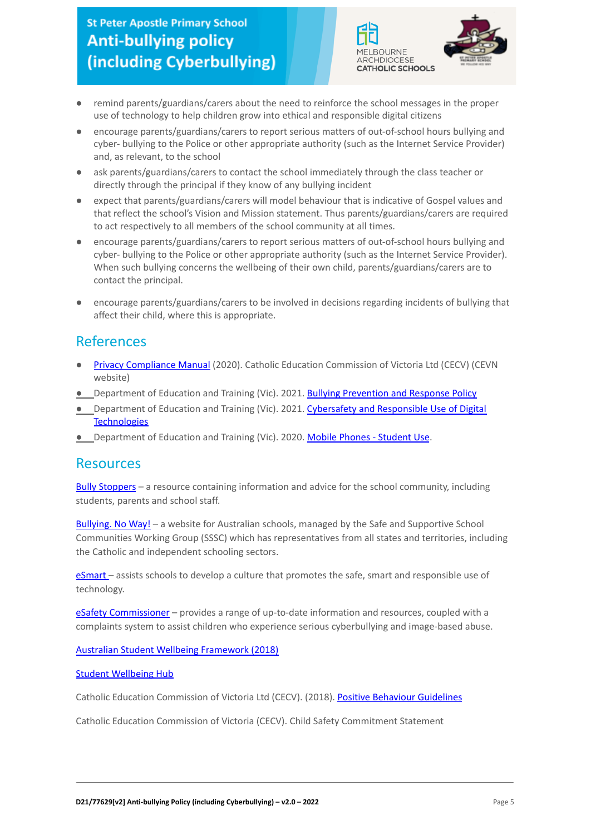



- remind parents/guardians/carers about the need to reinforce the school messages in the proper use of technology to help children grow into ethical and responsible digital citizens
- encourage parents/guardians/carers to report serious matters of out-of-school hours bullying and cyber- bullying to the Police or other appropriate authority (such as the Internet Service Provider) and, as relevant, to the school
- ask parents/guardians/carers to contact the school immediately through the class teacher or directly through the principal if they know of any bullying incident
- expect that parents/guardians/carers will model behaviour that is indicative of Gospel values and that reflect the school's Vision and Mission statement. Thus parents/guardians/carers are required to act respectively to all members of the school community at all times.
- encourage parents/guardians/carers to report serious matters of out-of-school hours bullying and cyber- bullying to the Police or other appropriate authority (such as the Internet Service Provider). When such bullying concerns the wellbeing of their own child, parents/guardians/carers are to contact the principal.
- encourage parents/guardians/carers to be involved in decisions regarding incidents of bullying that affect their child, where this is appropriate.

## References

- [Privacy Compliance Manual](https://cevn.cecv.catholic.edu.au/Melb/Document-File/Polices-Compliance-and-Legal/Privacy/Privacy-Compliance-Manual.aspx) (2020). Catholic Education Commission of Victoria Ltd (CECV) (CEVN website)
- **•** Department of Education and Training (Vic). 2021. [Bullying Prevention and Response Policy](https://www2.education.vic.gov.au/pal/bullying-prevention-response/policy)
- **●** Department of Education and Training (Vic). 2021. [Cybersafety and Responsible Use of Digital](https://www2.education.vic.gov.au/pal/cybersafety/policy) **[Technologies](https://www2.education.vic.gov.au/pal/cybersafety/policy)**
- **•** Department of Education and Training (Vic). 2020. [Mobile Phones Student Use](https://www2.education.vic.gov.au/pal/students-using-mobile-phones/policy).

### Resources

Bully [Stoppers](https://www.education.vic.gov.au/about/programs/bullystoppers/Pages/default.aspx) – a resource containing information and advice for the school community, including students, parents and school staff.

[Bullying. No](https://bullyingnoway.gov.au/) Way! - a website for Australian schools, managed by the Safe and Supportive School Communities Working Group (SSSC) which has representatives from all states and territories, including the Catholic and independent schooling sectors.

[eSmart](https://www.education.vic.gov.au/about/programs/bullystoppers/Pages/esmart.aspx) - assists schools to develop a culture that promotes the safe, smart and responsible use of technology.

eSafety [Commissioner](https://www.esafety.gov.au/) – provides a range of up-to-date information and resources, coupled with a complaints system to assist children who experience serious cyberbullying and image-based abuse.

[Australian Student Wellbeing Framework \(2018\)](https://www.studentwellbeinghub.edu.au/docs/default-source/aswf_booklet-pdf.pdf)

#### [Student Wellbeing Hub](https://www.studentwellbeinghub.edu.au/)

Catholic Education Commission of Victoria Ltd (CECV). (2018). [Positive Behaviour Guidelines](http://www.cecv.catholic.edu.au/getmedia/bc1d235d-9a98-4bb4-b3ac-84b50fa7c639/CECV-Positive-Behaviour-Guidelines_FINAL2.aspx?ext=.pdf)

Catholic Education Commission of Victoria (CECV). Child Safety Commitment Statement